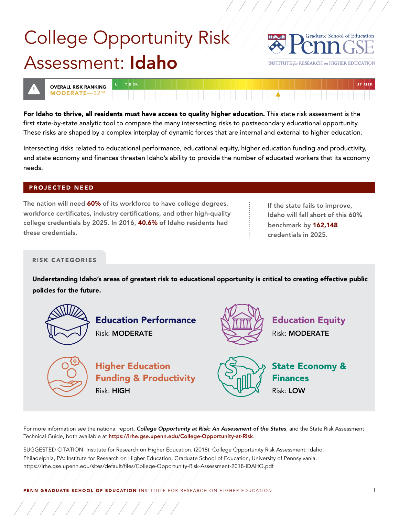

INSTITUTE *far* RESEARCH on HIGHER EDUCATION



/////////////

For Idaho to thrive, all residents must have access to quality higher education. This state risk assessment is the first state-by-state analytic tool to compare the many intersecting risks to postsecondary educational opportunity. These risks are shaped by a complex interplay of dynamic forces that are internal and external to higher education.

Intersecting risks related to educational performance, educational equity, higher education funding and productivity, and state economy and finances threaten Idaho's ability to provide the number of educated workers that its economy needs.

### **PROJECTED NEED**

The nation will need 60% of its workforce to have college degrees,  $\cdot$  If the state fails to improve, workforce certificates, industry certifications, and other high-quality in the labo will fall short of this 60% college credentials by 2025. In 2016, 40.6% of Idaho residents had  $\qquad \qquad \vdots$  benchmark by 162,148 these credentials. These credentials in 2025.

### **RISK CATEGORIES**

/////////////

Understanding Idaho's areas of greatest risk to educational opportunity is critical to creating effective public policies for the future.



For more information see the national report, *College Opportunity at Risk: An Assessment of the States*, and the State Risk Assessment Technical Guide, both available at <https://irhe.gse.upenn.edu/College-Opportunity-at-Risk>.

SUGGESTED CITATION: Institute for Research on Higher Education. (2018). College Opportunity Risk Assessment: Idaho. Philadelphia, PA: Institute for Research on Higher Education, Graduate School of Education, University of Pennsylvania. [https://irhe.gse.upenn.edu/sites/default/files/College-Opportunity-Risk-Assessment-2018-](https://irhe.gse.upenn.edu/sites/default/files/College-Opportunity-Risk-Assessment-2018-IDAHO.pdf)IDAHO.pdf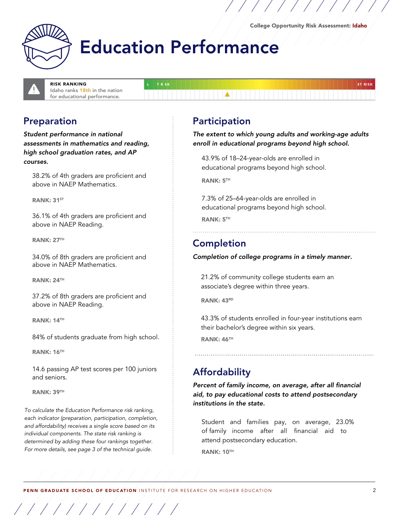ST RISK



## **Education Performance**

TR<sub>SK</sub>

RISK RANKING Idaho ranks 18th in the nation for educational performance.

### Preparation

*Student performance in national assessments in mathematics and reading, high school graduation rates, and AP courses.* 

38.2% of 4th graders are proficient and above in NAEP Mathematics.

RANK: 31<sup>ST</sup>

36.1% of 4th graders are proficient and above in NAEP Reading.

RANK: 27TH

34.0% of 8th graders are proficient and above in NAEP Mathematics.

RANK: 24TH

37.2% of 8th graders are proficient and above in NAEP Reading.

RANK: 14TH

84% of students graduate from high school.

**RANK: 16TH** 

14.6 passing AP test scores per 100 juniors and seniors.

RANK: 39TH

/////////////

To calculate the Education Performance risk ranking, each indicator (preparation, participation, completion, and affordability) receives a single score based on its individual components. The state risk ranking is determined by adding these four rankings together. For more details, see page 3 of the technical guide.

### Participation

*The extent to which young adults and working-age adults enroll in educational programs beyond high school.* 

43.9% of 18–24-year-olds are enrolled in educational programs beyond high school.

/////////////

RANK: 5TH

7.3% of 25–64-year-olds are enrolled in educational programs beyond high school. RANK: 5TH

### Completion

### Completion of college programs in a timely manner.

21.2% of community college students earn an associate's degree within three years.

**RANK: 43RD** 

43.3% of students enrolled in four-year institutions earn their bachelor's degree within six years.

RANK: 46TH

## **Affordability**

*Percent of family income, on average, after all financial aid, to pay educational costs to attend postsecondary institutions in the state.* 

Student and families pay, on average, 23.0% of family income after all financial aid to attend postsecondary education. RANK: 10TH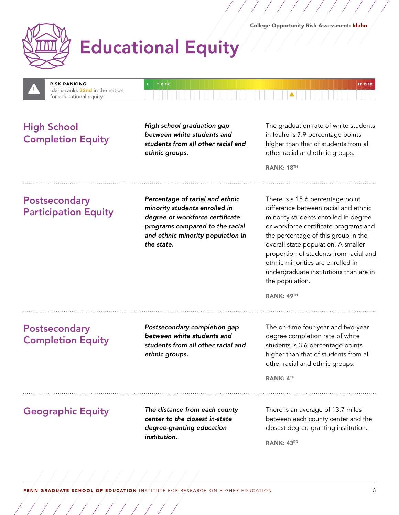





/////////////

**ethnic groups. a** *ethnic groups. ethnic groups.* 

**High School High school graduation gap** The graduation rate of white students **C**<br>**Computed this area interest in the students and formulation in Idaho is 7.9 percentage points Completion Equity** *between white students and in Idaho is 7.9 percentage points completion Equity students from all other racial and bigher than that of students from all other racial and bigher than that of s* 

RANK: 18<sup>TH</sup>

Postsecondary *Percentage of racial and ethnic minority students enrolled in* Participation Equity *degree or workforce certifcate programs compared to the racial and ethnic minority population in the state.* 

There is a 15.6 percentage point difference between racial and ethnic minority students enrolled in degree or workforce certificate programs and the percentage of this group in the overall state population. A smaller proportion of students from racial and ethnic minorities are enrolled in undergraduate institutions than are in the population.

RANK: 49TH

**Postsecondary Postsecondary** *Postsecondary completion gap* The on-time four-year and two-year **Completion Familie 1 Completion Equity between white students and degree completion rate of white students from all other racial and** students is 3.6 percentage points

**ethnic groups. higher than that of students from all** other racial and ethnic groups.

RANK: 4TH

/////////////

*institution.* 

Geographic Equity **The distance from each county** There is an average of 13.7 miles<br>**Communication Conter to the closest in-state** between each county center and between each county center and the *degree-granting education* closest degree-granting institution.

RANK: 43RD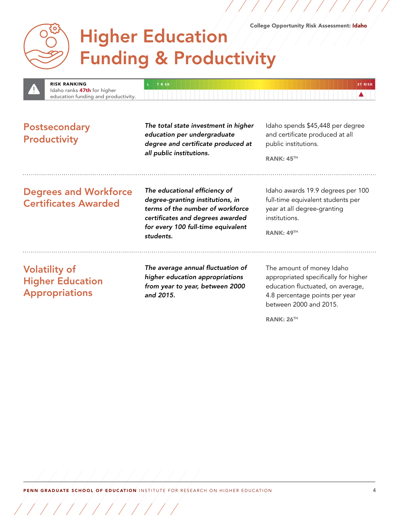/////////////

## **Higher Education Funding & Productivity**



**Postsecondary** *The total state investment in higher* Idaho spends \$45,448 per degree<br> **Postable at all President in the seducation per undergraduate** and certificate produced at all **Productivity and certificate in all Productivity** *degree and certificate produced at* public institutions. **all public institutions.**<br>RANK: 45TH

# **Degrees and Workforce** *The educational efficiency of* Idaho awards 19.9 degrees per 100

**Certificates Awarded** *degree-granting institutions, in* tuil-time equivalent student **Certificates Awarded** *terms of the number of workforce year at all degree-granting certifcates and degrees awarded* institutions. *for every 100 full-time equivalent students.* 

RANK: 49TH

/////////////

**Volatility of The average annual fluctuation of** The amount of money Idaho<br>**Higher Education** *The average annual fluctuations* appropriated specifically for higher **higher Education appropriations** appropriated specifically for higher **Higher education appropriations** appropriated specifically for higher **Higher education from year to year, between 2000** education fluctuated, on **Appropriations and 2015. and 2015. 4.8 percentage points per year** 

between 2000 and 2015.

RANK: 26<sup>TH</sup>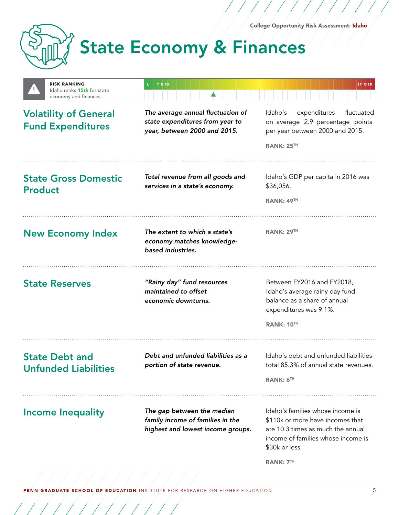/////////////



/////////////

# **State Economy & Finances**

| <b>RISK RANKING</b><br>Idaho ranks 15th for state<br>economy and finances. | TRSK                                                                                                 | <b>ST RISK</b>                                                                                                                                                                        |
|----------------------------------------------------------------------------|------------------------------------------------------------------------------------------------------|---------------------------------------------------------------------------------------------------------------------------------------------------------------------------------------|
| <b>Volatility of General</b><br><b>Fund Expenditures</b>                   | The average annual fluctuation of<br>state expenditures from year to<br>year, between 2000 and 2015. | expenditures<br>Idaho's<br>fluctuated<br>on average 2.9 percentage points<br>per year between 2000 and 2015.                                                                          |
|                                                                            |                                                                                                      | <b>RANK: 25TH</b>                                                                                                                                                                     |
| <b>State Gross Domestic</b><br><b>Product</b>                              | Total revenue from all goods and<br>services in a state's economy.                                   | Idaho's GDP per capita in 2016 was<br>\$36,056.                                                                                                                                       |
|                                                                            |                                                                                                      | RANK: 49 <sup>TH</sup>                                                                                                                                                                |
| <b>New Economy Index</b>                                                   | The extent to which a state's<br>economy matches knowledge-<br>based industries.                     | <b>RANK: 29TH</b>                                                                                                                                                                     |
| <b>State Reserves</b>                                                      | "Rainy day" fund resources<br>maintained to offset<br>economic downturns.                            | Between FY2016 and FY2018,<br>Idaho's average rainy day fund<br>balance as a share of annual<br>expenditures was 9.1%.<br><b>RANK: 10TH</b>                                           |
|                                                                            |                                                                                                      |                                                                                                                                                                                       |
| <b>State Debt and</b><br><b>Unfunded Liabilities</b>                       | Debt and unfunded liabilities as a<br>portion of state revenue.                                      | Idaho's debt and unfunded liabilities<br>total 85.3% of annual state revenues.                                                                                                        |
|                                                                            |                                                                                                      | <b>RANK: 6TH</b>                                                                                                                                                                      |
| <b>Income Inequality</b>                                                   | The gap between the median<br>family income of families in the<br>highest and lowest income groups.  | Idaho's families whose income is<br>\$110k or more have incomes that<br>are 10.3 times as much the annual<br>income of families whose income is<br>\$30k or less.<br><b>RANK: 7TH</b> |
|                                                                            |                                                                                                      |                                                                                                                                                                                       |